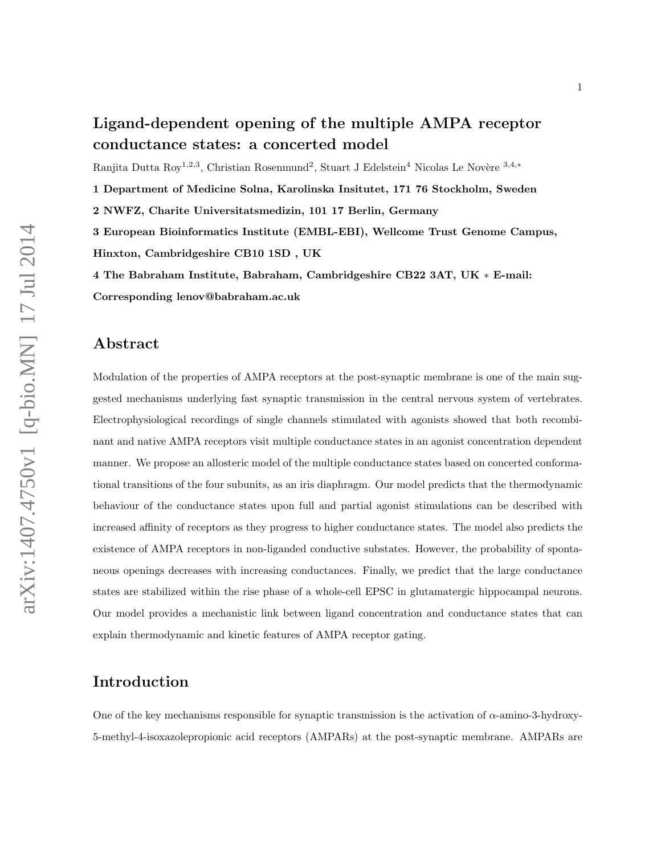# Ligand-dependent opening of the multiple AMPA receptor conductance states: a concerted model

Ranjita Dutta Roy<sup>1,2,3</sup>, Christian Rosenmund<sup>2</sup>, Stuart J Edelstein<sup>4</sup> Nicolas Le Novère<sup>3,4,\*</sup>

1 Department of Medicine Solna, Karolinska Insitutet, 171 76 Stockholm, Sweden

2 NWFZ, Charite Universitatsmedizin, 101 17 Berlin, Germany

3 European Bioinformatics Institute (EMBL-EBI), Wellcome Trust Genome Campus, Hinxton, Cambridgeshire CB10 1SD , UK

4 The Babraham Institute, Babraham, Cambridgeshire CB22 3AT, UK ∗ E-mail: Corresponding lenov@babraham.ac.uk

#### Abstract

Modulation of the properties of AMPA receptors at the post-synaptic membrane is one of the main suggested mechanisms underlying fast synaptic transmission in the central nervous system of vertebrates. Electrophysiological recordings of single channels stimulated with agonists showed that both recombinant and native AMPA receptors visit multiple conductance states in an agonist concentration dependent manner. We propose an allosteric model of the multiple conductance states based on concerted conformational transitions of the four subunits, as an iris diaphragm. Our model predicts that the thermodynamic behaviour of the conductance states upon full and partial agonist stimulations can be described with increased affinity of receptors as they progress to higher conductance states. The model also predicts the existence of AMPA receptors in non-liganded conductive substates. However, the probability of spontaneous openings decreases with increasing conductances. Finally, we predict that the large conductance states are stabilized within the rise phase of a whole-cell EPSC in glutamatergic hippocampal neurons. Our model provides a mechanistic link between ligand concentration and conductance states that can explain thermodynamic and kinetic features of AMPA receptor gating.

#### Introduction

One of the key mechanisms responsible for synaptic transmission is the activation of α-amino-3-hydroxy-5-methyl-4-isoxazolepropionic acid receptors (AMPARs) at the post-synaptic membrane. AMPARs are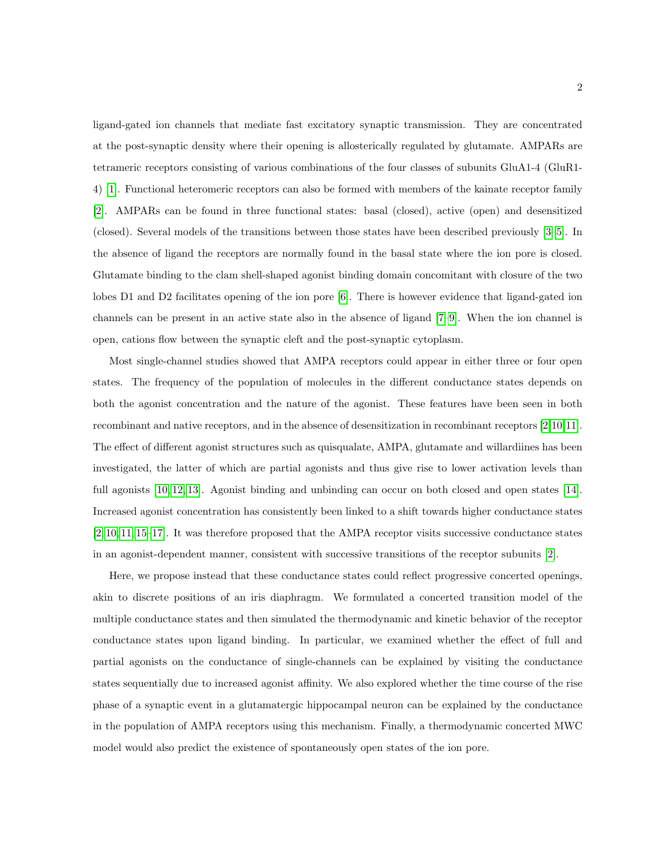ligand-gated ion channels that mediate fast excitatory synaptic transmission. They are concentrated at the post-synaptic density where their opening is allosterically regulated by glutamate. AMPARs are tetrameric receptors consisting of various combinations of the four classes of subunits GluA1-4 (GluR1- 4) [\[1\]](#page-10-0). Functional heteromeric receptors can also be formed with members of the kainate receptor family [\[2\]](#page-10-1). AMPARs can be found in three functional states: basal (closed), active (open) and desensitized (closed). Several models of the transitions between those states have been described previously [\[3–](#page-10-2)[5\]](#page-10-3). In the absence of ligand the receptors are normally found in the basal state where the ion pore is closed. Glutamate binding to the clam shell-shaped agonist binding domain concomitant with closure of the two lobes D1 and D2 facilitates opening of the ion pore [\[6\]](#page-11-0). There is however evidence that ligand-gated ion channels can be present in an active state also in the absence of ligand [\[7–](#page-11-1)[9\]](#page-11-2). When the ion channel is open, cations flow between the synaptic cleft and the post-synaptic cytoplasm.

Most single-channel studies showed that AMPA receptors could appear in either three or four open states. The frequency of the population of molecules in the different conductance states depends on both the agonist concentration and the nature of the agonist. These features have been seen in both recombinant and native receptors, and in the absence of desensitization in recombinant receptors [\[2,](#page-10-1)[10,](#page-11-3)[11\]](#page-11-4). The effect of different agonist structures such as quisqualate, AMPA, glutamate and willardiines has been investigated, the latter of which are partial agonists and thus give rise to lower activation levels than full agonists [\[10,](#page-11-3) [12,](#page-11-5) [13\]](#page-11-6). Agonist binding and unbinding can occur on both closed and open states [\[14\]](#page-11-7). Increased agonist concentration has consistently been linked to a shift towards higher conductance states [\[2,](#page-10-1) [10,](#page-11-3) [11,](#page-11-4) [15–](#page-11-8)[17\]](#page-11-9). It was therefore proposed that the AMPA receptor visits successive conductance states in an agonist-dependent manner, consistent with successive transitions of the receptor subunits [\[2\]](#page-10-1).

Here, we propose instead that these conductance states could reflect progressive concerted openings, akin to discrete positions of an iris diaphragm. We formulated a concerted transition model of the multiple conductance states and then simulated the thermodynamic and kinetic behavior of the receptor conductance states upon ligand binding. In particular, we examined whether the effect of full and partial agonists on the conductance of single-channels can be explained by visiting the conductance states sequentially due to increased agonist affinity. We also explored whether the time course of the rise phase of a synaptic event in a glutamatergic hippocampal neuron can be explained by the conductance in the population of AMPA receptors using this mechanism. Finally, a thermodynamic concerted MWC model would also predict the existence of spontaneously open states of the ion pore.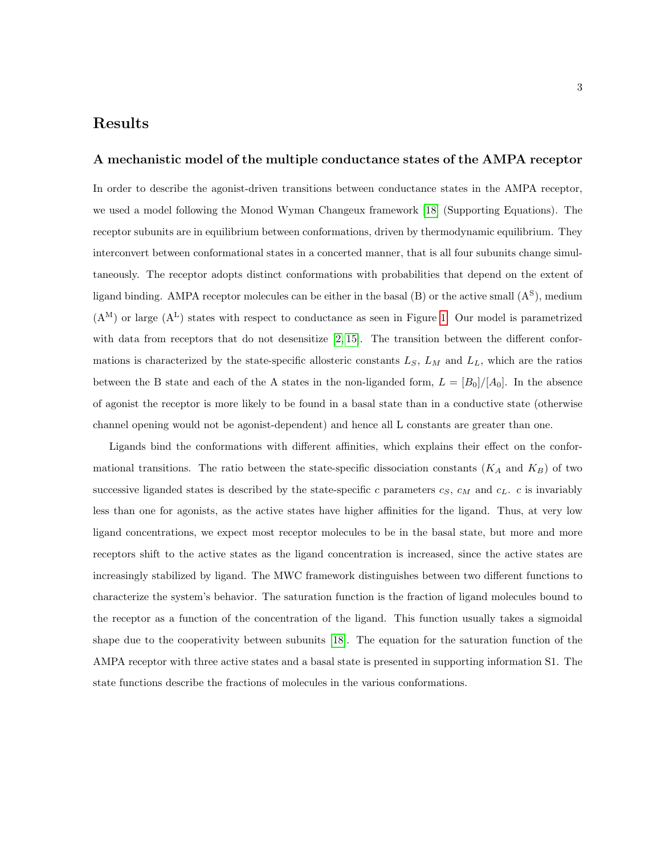### Results

#### A mechanistic model of the multiple conductance states of the AMPA receptor

In order to describe the agonist-driven transitions between conductance states in the AMPA receptor, we used a model following the Monod Wyman Changeux framework [\[18\]](#page-11-10) (Supporting Equations). The receptor subunits are in equilibrium between conformations, driven by thermodynamic equilibrium. They interconvert between conformational states in a concerted manner, that is all four subunits change simultaneously. The receptor adopts distinct conformations with probabilities that depend on the extent of ligand binding. AMPA receptor molecules can be either in the basal  $(B)$  or the active small  $(A<sup>S</sup>)$ , medium  $(A^M)$  or large  $(A^L)$  states with respect to conductance as seen in Figure [1.](#page-14-0) Our model is parametrized with data from receptors that do not desensitize  $[2, 15]$  $[2, 15]$ . The transition between the different conformations is characterized by the state-specific allosteric constants  $L_S$ ,  $L_M$  and  $L_L$ , which are the ratios between the B state and each of the A states in the non-liganded form,  $L = [B_0]/[A_0]$ . In the absence of agonist the receptor is more likely to be found in a basal state than in a conductive state (otherwise channel opening would not be agonist-dependent) and hence all L constants are greater than one.

Ligands bind the conformations with different affinities, which explains their effect on the conformational transitions. The ratio between the state-specific dissociation constants  $(K_A \text{ and } K_B)$  of two successive liganded states is described by the state-specific c parameters  $c_S$ ,  $c_M$  and  $c_L$ . c is invariably less than one for agonists, as the active states have higher affinities for the ligand. Thus, at very low ligand concentrations, we expect most receptor molecules to be in the basal state, but more and more receptors shift to the active states as the ligand concentration is increased, since the active states are increasingly stabilized by ligand. The MWC framework distinguishes between two different functions to characterize the system's behavior. The saturation function is the fraction of ligand molecules bound to the receptor as a function of the concentration of the ligand. This function usually takes a sigmoidal shape due to the cooperativity between subunits [\[18\]](#page-11-10). The equation for the saturation function of the AMPA receptor with three active states and a basal state is presented in supporting information S1. The state functions describe the fractions of molecules in the various conformations.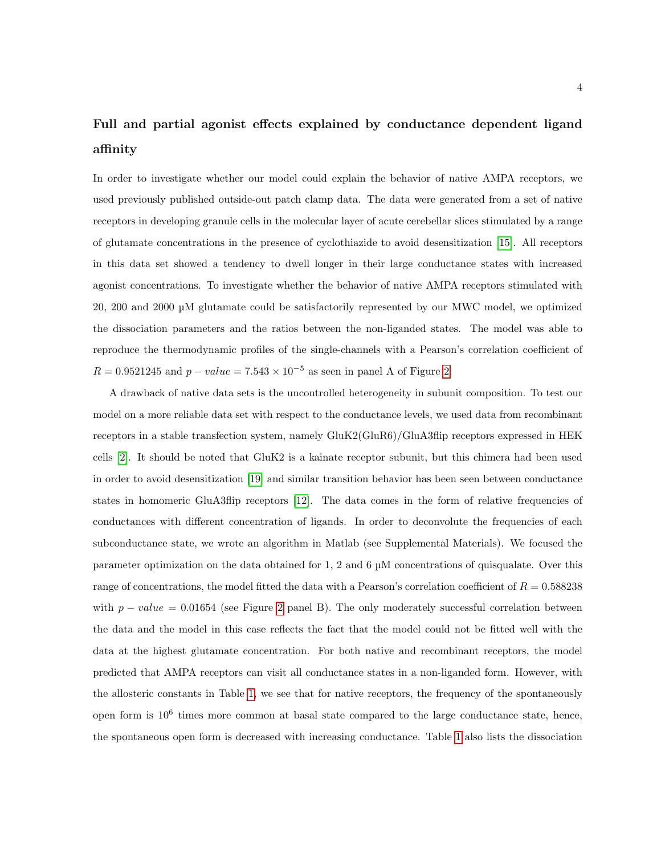# Full and partial agonist effects explained by conductance dependent ligand affinity

In order to investigate whether our model could explain the behavior of native AMPA receptors, we used previously published outside-out patch clamp data. The data were generated from a set of native receptors in developing granule cells in the molecular layer of acute cerebellar slices stimulated by a range of glutamate concentrations in the presence of cyclothiazide to avoid desensitization [\[15\]](#page-11-8). All receptors in this data set showed a tendency to dwell longer in their large conductance states with increased agonist concentrations. To investigate whether the behavior of native AMPA receptors stimulated with 20, 200 and 2000 µM glutamate could be satisfactorily represented by our MWC model, we optimized the dissociation parameters and the ratios between the non-liganded states. The model was able to reproduce the thermodynamic profiles of the single-channels with a Pearson's correlation coefficient of  $R = 0.9521245$  and  $p - value = 7.543 \times 10^{-5}$  as seen in panel A of Figure [2.](#page-15-0)

A drawback of native data sets is the uncontrolled heterogeneity in subunit composition. To test our model on a more reliable data set with respect to the conductance levels, we used data from recombinant receptors in a stable transfection system, namely GluK2(GluR6)/GluA3flip receptors expressed in HEK cells [\[2\]](#page-10-1). It should be noted that GluK2 is a kainate receptor subunit, but this chimera had been used in order to avoid desensitization [\[19\]](#page-12-0) and similar transition behavior has been seen between conductance states in homomeric GluA3flip receptors [\[12\]](#page-11-5). The data comes in the form of relative frequencies of conductances with different concentration of ligands. In order to deconvolute the frequencies of each subconductance state, we wrote an algorithm in Matlab (see Supplemental Materials). We focused the parameter optimization on the data obtained for 1, 2 and 6 µM concentrations of quisqualate. Over this range of concentrations, the model fitted the data with a Pearson's correlation coefficient of  $R = 0.588238$ with  $p - value = 0.01654$  (see Figure [2](#page-15-0) panel B). The only moderately successful correlation between the data and the model in this case reflects the fact that the model could not be fitted well with the data at the highest glutamate concentration. For both native and recombinant receptors, the model predicted that AMPA receptors can visit all conductance states in a non-liganded form. However, with the allosteric constants in Table [1,](#page-18-0) we see that for native receptors, the frequency of the spontaneously open form is  $10^6$  times more common at basal state compared to the large conductance state, hence, the spontaneous open form is decreased with increasing conductance. Table [1](#page-18-0) also lists the dissociation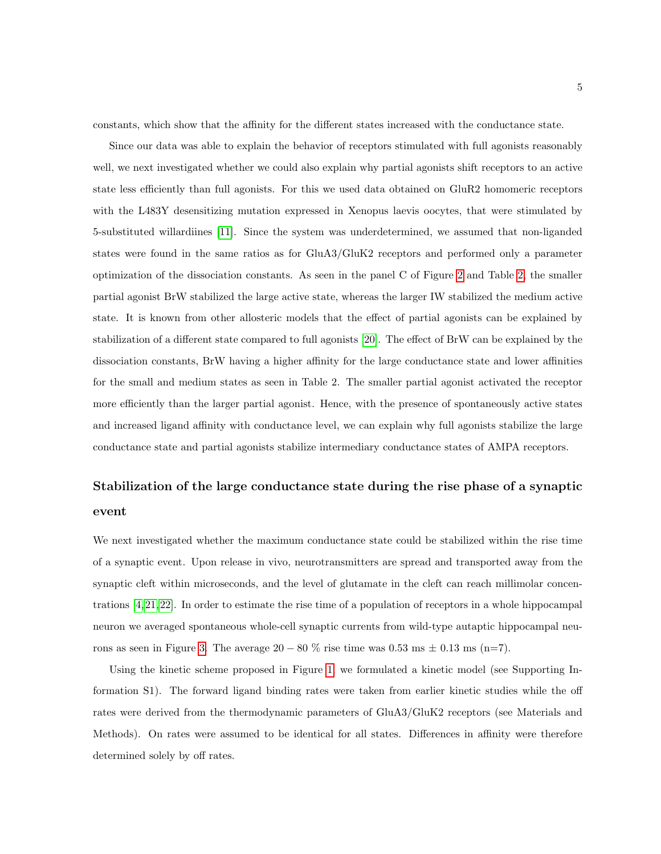constants, which show that the affinity for the different states increased with the conductance state.

Since our data was able to explain the behavior of receptors stimulated with full agonists reasonably well, we next investigated whether we could also explain why partial agonists shift receptors to an active state less efficiently than full agonists. For this we used data obtained on GluR2 homomeric receptors with the L483Y desensitizing mutation expressed in Xenopus laevis oocytes, that were stimulated by 5-substituted willardiines [\[11\]](#page-11-4). Since the system was underdetermined, we assumed that non-liganded states were found in the same ratios as for GluA3/GluK2 receptors and performed only a parameter optimization of the dissociation constants. As seen in the panel C of Figure [2](#page-15-0) and Table [2,](#page-19-0) the smaller partial agonist BrW stabilized the large active state, whereas the larger IW stabilized the medium active state. It is known from other allosteric models that the effect of partial agonists can be explained by stabilization of a different state compared to full agonists [\[20\]](#page-12-1). The effect of BrW can be explained by the dissociation constants, BrW having a higher affinity for the large conductance state and lower affinities for the small and medium states as seen in Table 2. The smaller partial agonist activated the receptor more efficiently than the larger partial agonist. Hence, with the presence of spontaneously active states and increased ligand affinity with conductance level, we can explain why full agonists stabilize the large conductance state and partial agonists stabilize intermediary conductance states of AMPA receptors.

# Stabilization of the large conductance state during the rise phase of a synaptic event

We next investigated whether the maximum conductance state could be stabilized within the rise time of a synaptic event. Upon release in vivo, neurotransmitters are spread and transported away from the synaptic cleft within microseconds, and the level of glutamate in the cleft can reach millimolar concentrations [\[4,](#page-10-4) [21,](#page-12-2)[22\]](#page-12-3). In order to estimate the rise time of a population of receptors in a whole hippocampal neuron we averaged spontaneous whole-cell synaptic currents from wild-type autaptic hippocampal neu-rons as seen in Figure [3.](#page-16-0) The average  $20 - 80\%$  rise time was  $0.53 \text{ ms } \pm 0.13 \text{ ms } (\text{n=7}).$ 

Using the kinetic scheme proposed in Figure [1,](#page-14-0) we formulated a kinetic model (see Supporting Information S1). The forward ligand binding rates were taken from earlier kinetic studies while the off rates were derived from the thermodynamic parameters of GluA3/GluK2 receptors (see Materials and Methods). On rates were assumed to be identical for all states. Differences in affinity were therefore determined solely by off rates.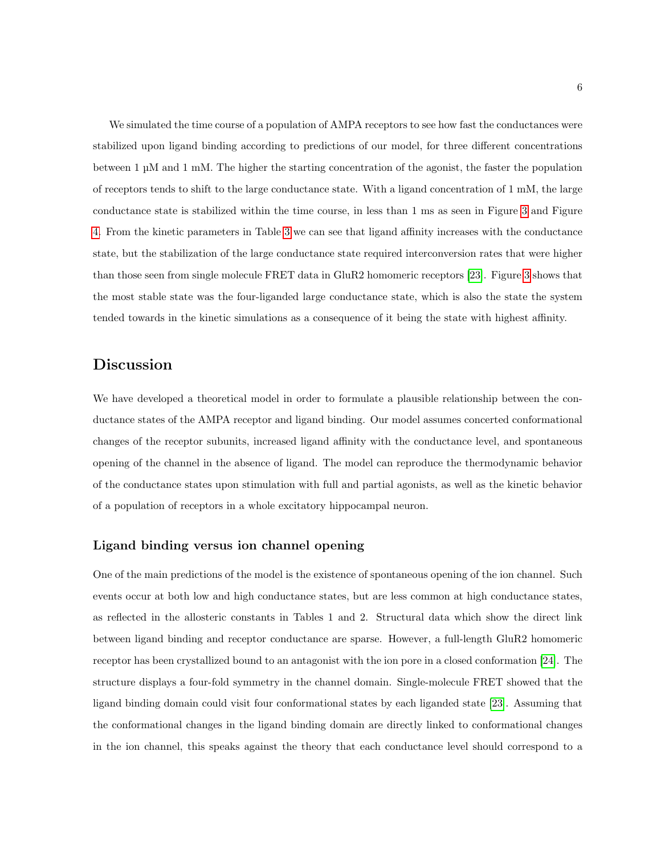We simulated the time course of a population of AMPA receptors to see how fast the conductances were stabilized upon ligand binding according to predictions of our model, for three different concentrations between 1 µM and 1 mM. The higher the starting concentration of the agonist, the faster the population of receptors tends to shift to the large conductance state. With a ligand concentration of 1 mM, the large conductance state is stabilized within the time course, in less than 1 ms as seen in Figure [3](#page-16-0) and Figure [4.](#page-17-0) From the kinetic parameters in Table [3](#page-20-0) we can see that ligand affinity increases with the conductance state, but the stabilization of the large conductance state required interconversion rates that were higher than those seen from single molecule FRET data in GluR2 homomeric receptors [\[23\]](#page-12-4). Figure [3](#page-16-0) shows that the most stable state was the four-liganded large conductance state, which is also the state the system tended towards in the kinetic simulations as a consequence of it being the state with highest affinity.

### Discussion

We have developed a theoretical model in order to formulate a plausible relationship between the conductance states of the AMPA receptor and ligand binding. Our model assumes concerted conformational changes of the receptor subunits, increased ligand affinity with the conductance level, and spontaneous opening of the channel in the absence of ligand. The model can reproduce the thermodynamic behavior of the conductance states upon stimulation with full and partial agonists, as well as the kinetic behavior of a population of receptors in a whole excitatory hippocampal neuron.

#### Ligand binding versus ion channel opening

One of the main predictions of the model is the existence of spontaneous opening of the ion channel. Such events occur at both low and high conductance states, but are less common at high conductance states, as reflected in the allosteric constants in Tables 1 and 2. Structural data which show the direct link between ligand binding and receptor conductance are sparse. However, a full-length GluR2 homomeric receptor has been crystallized bound to an antagonist with the ion pore in a closed conformation [\[24\]](#page-12-5). The structure displays a four-fold symmetry in the channel domain. Single-molecule FRET showed that the ligand binding domain could visit four conformational states by each liganded state [\[23\]](#page-12-4). Assuming that the conformational changes in the ligand binding domain are directly linked to conformational changes in the ion channel, this speaks against the theory that each conductance level should correspond to a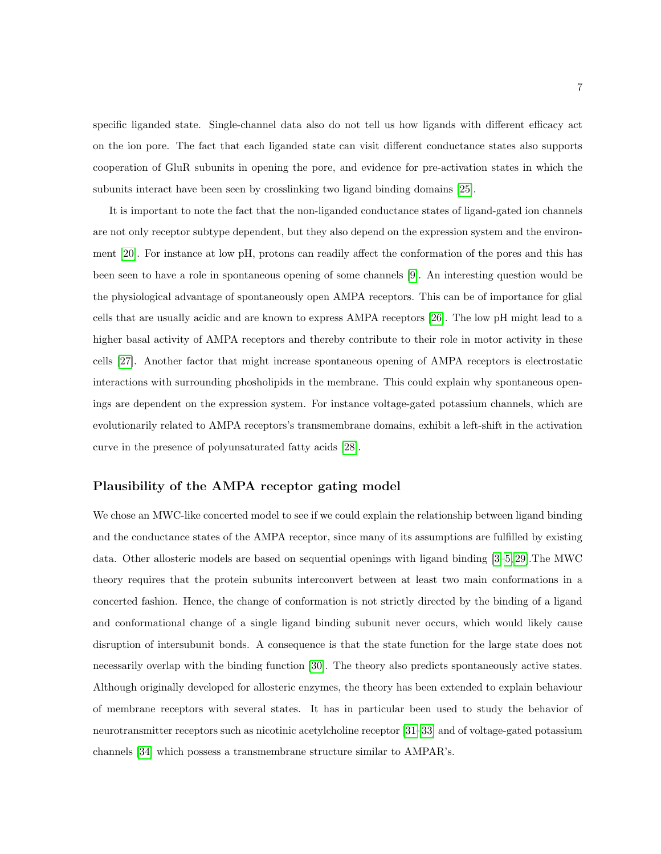specific liganded state. Single-channel data also do not tell us how ligands with different efficacy act on the ion pore. The fact that each liganded state can visit different conductance states also supports cooperation of GluR subunits in opening the pore, and evidence for pre-activation states in which the subunits interact have been seen by crosslinking two ligand binding domains [\[25\]](#page-12-6).

It is important to note the fact that the non-liganded conductance states of ligand-gated ion channels are not only receptor subtype dependent, but they also depend on the expression system and the environment [\[20\]](#page-12-1). For instance at low pH, protons can readily affect the conformation of the pores and this has been seen to have a role in spontaneous opening of some channels [\[9\]](#page-11-2). An interesting question would be the physiological advantage of spontaneously open AMPA receptors. This can be of importance for glial cells that are usually acidic and are known to express AMPA receptors [\[26\]](#page-12-7). The low pH might lead to a higher basal activity of AMPA receptors and thereby contribute to their role in motor activity in these cells [\[27\]](#page-12-8). Another factor that might increase spontaneous opening of AMPA receptors is electrostatic interactions with surrounding phosholipids in the membrane. This could explain why spontaneous openings are dependent on the expression system. For instance voltage-gated potassium channels, which are evolutionarily related to AMPA receptors's transmembrane domains, exhibit a left-shift in the activation curve in the presence of polyunsaturated fatty acids [\[28\]](#page-12-9).

#### Plausibility of the AMPA receptor gating model

We chose an MWC-like concerted model to see if we could explain the relationship between ligand binding and the conductance states of the AMPA receptor, since many of its assumptions are fulfilled by existing data. Other allosteric models are based on sequential openings with ligand binding [\[3–](#page-10-2)[5,](#page-10-3) [29\]](#page-12-10).The MWC theory requires that the protein subunits interconvert between at least two main conformations in a concerted fashion. Hence, the change of conformation is not strictly directed by the binding of a ligand and conformational change of a single ligand binding subunit never occurs, which would likely cause disruption of intersubunit bonds. A consequence is that the state function for the large state does not necessarily overlap with the binding function [\[30\]](#page-12-11). The theory also predicts spontaneously active states. Although originally developed for allosteric enzymes, the theory has been extended to explain behaviour of membrane receptors with several states. It has in particular been used to study the behavior of neurotransmitter receptors such as nicotinic acetylcholine receptor [\[31–](#page-13-0)[33\]](#page-13-1) and of voltage-gated potassium channels [\[34\]](#page-13-2) which possess a transmembrane structure similar to AMPAR's.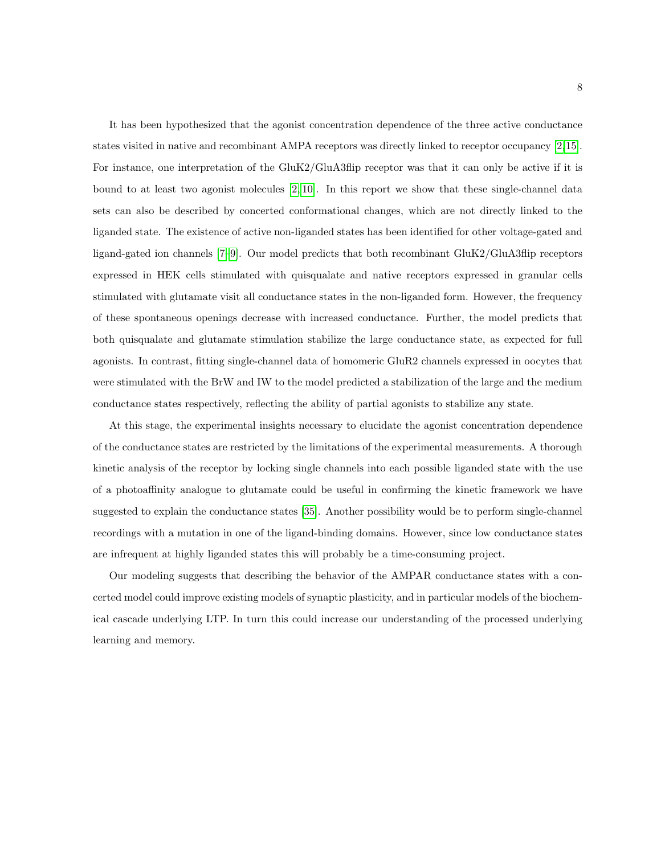It has been hypothesized that the agonist concentration dependence of the three active conductance states visited in native and recombinant AMPA receptors was directly linked to receptor occupancy [\[2,](#page-10-1)[15\]](#page-11-8). For instance, one interpretation of the GluK2/GluA3flip receptor was that it can only be active if it is bound to at least two agonist molecules [\[2,](#page-10-1) [10\]](#page-11-3). In this report we show that these single-channel data sets can also be described by concerted conformational changes, which are not directly linked to the liganded state. The existence of active non-liganded states has been identified for other voltage-gated and ligand-gated ion channels [\[7](#page-11-1)[–9\]](#page-11-2). Our model predicts that both recombinant GluK2/GluA3flip receptors expressed in HEK cells stimulated with quisqualate and native receptors expressed in granular cells stimulated with glutamate visit all conductance states in the non-liganded form. However, the frequency of these spontaneous openings decrease with increased conductance. Further, the model predicts that both quisqualate and glutamate stimulation stabilize the large conductance state, as expected for full agonists. In contrast, fitting single-channel data of homomeric GluR2 channels expressed in oocytes that were stimulated with the BrW and IW to the model predicted a stabilization of the large and the medium conductance states respectively, reflecting the ability of partial agonists to stabilize any state.

At this stage, the experimental insights necessary to elucidate the agonist concentration dependence of the conductance states are restricted by the limitations of the experimental measurements. A thorough kinetic analysis of the receptor by locking single channels into each possible liganded state with the use of a photoaffinity analogue to glutamate could be useful in confirming the kinetic framework we have suggested to explain the conductance states [\[35\]](#page-13-3). Another possibility would be to perform single-channel recordings with a mutation in one of the ligand-binding domains. However, since low conductance states are infrequent at highly liganded states this will probably be a time-consuming project.

Our modeling suggests that describing the behavior of the AMPAR conductance states with a concerted model could improve existing models of synaptic plasticity, and in particular models of the biochemical cascade underlying LTP. In turn this could increase our understanding of the processed underlying learning and memory.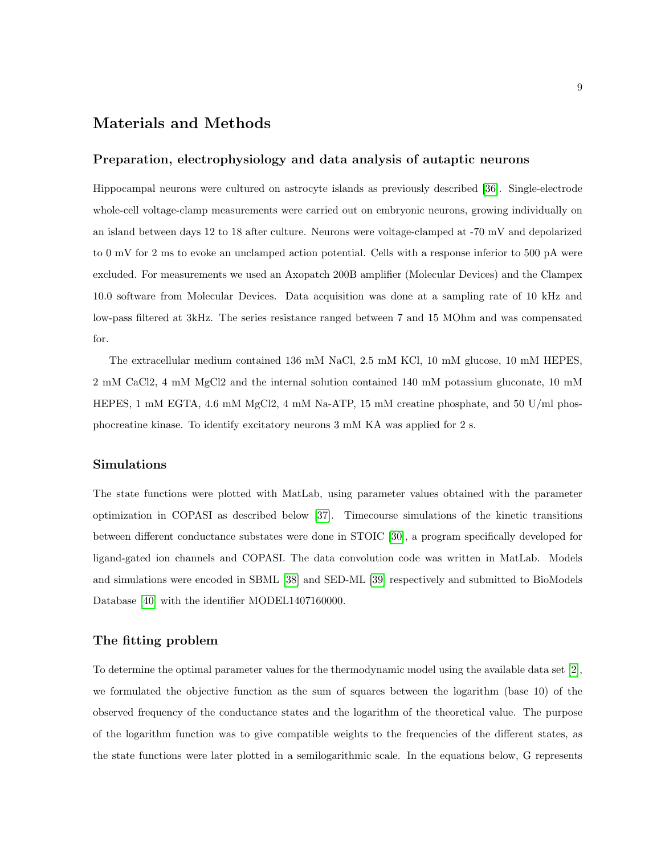### Materials and Methods

#### Preparation, electrophysiology and data analysis of autaptic neurons

Hippocampal neurons were cultured on astrocyte islands as previously described [\[36\]](#page-13-4). Single-electrode whole-cell voltage-clamp measurements were carried out on embryonic neurons, growing individually on an island between days 12 to 18 after culture. Neurons were voltage-clamped at -70 mV and depolarized to 0 mV for 2 ms to evoke an unclamped action potential. Cells with a response inferior to 500 pA were excluded. For measurements we used an Axopatch 200B amplifier (Molecular Devices) and the Clampex 10.0 software from Molecular Devices. Data acquisition was done at a sampling rate of 10 kHz and low-pass filtered at 3kHz. The series resistance ranged between 7 and 15 MOhm and was compensated for.

The extracellular medium contained 136 mM NaCl, 2.5 mM KCl, 10 mM glucose, 10 mM HEPES, 2 mM CaCl2, 4 mM MgCl2 and the internal solution contained 140 mM potassium gluconate, 10 mM HEPES, 1 mM EGTA, 4.6 mM MgCl2, 4 mM Na-ATP, 15 mM creatine phosphate, and 50 U/ml phosphocreatine kinase. To identify excitatory neurons 3 mM KA was applied for 2 s.

#### Simulations

The state functions were plotted with MatLab, using parameter values obtained with the parameter optimization in COPASI as described below [\[37\]](#page-13-5). Timecourse simulations of the kinetic transitions between different conductance substates were done in STOIC [\[30\]](#page-12-11), a program specifically developed for ligand-gated ion channels and COPASI. The data convolution code was written in MatLab. Models and simulations were encoded in SBML [\[38\]](#page-13-6) and SED-ML [\[39\]](#page-13-7) respectively and submitted to BioModels Database [\[40\]](#page-13-8) with the identifier MODEL1407160000.

#### The fitting problem

To determine the optimal parameter values for the thermodynamic model using the available data set [\[2\]](#page-10-1), we formulated the objective function as the sum of squares between the logarithm (base 10) of the observed frequency of the conductance states and the logarithm of the theoretical value. The purpose of the logarithm function was to give compatible weights to the frequencies of the different states, as the state functions were later plotted in a semilogarithmic scale. In the equations below, G represents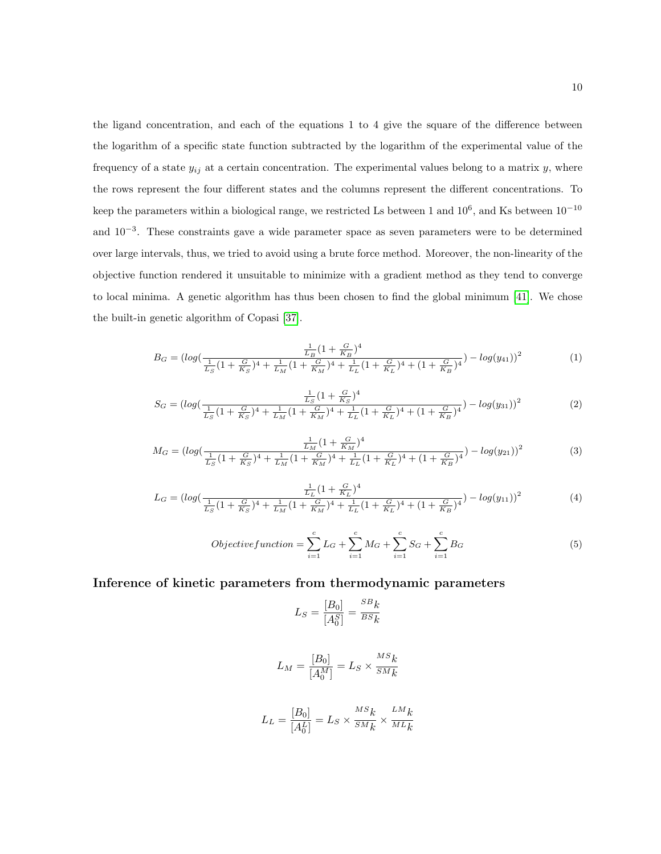the ligand concentration, and each of the equations 1 to 4 give the square of the difference between the logarithm of a specific state function subtracted by the logarithm of the experimental value of the frequency of a state  $y_{ij}$  at a certain concentration. The experimental values belong to a matrix  $y$ , where the rows represent the four different states and the columns represent the different concentrations. To keep the parameters within a biological range, we restricted Ls between 1 and  $10^6$ , and Ks between  $10^{-10}$ and 10<sup>-3</sup>. These constraints gave a wide parameter space as seven parameters were to be determined over large intervals, thus, we tried to avoid using a brute force method. Moreover, the non-linearity of the objective function rendered it unsuitable to minimize with a gradient method as they tend to converge to local minima. A genetic algorithm has thus been chosen to find the global minimum [\[41\]](#page-13-9). We chose the built-in genetic algorithm of Copasi [\[37\]](#page-13-5).

$$
B_G = \left(\log\left(\frac{\frac{1}{L_B}(1 + \frac{G}{K_B})^4}{\frac{1}{L_S}(1 + \frac{G}{K_S})^4 + \frac{1}{L_M}(1 + \frac{G}{K_M})^4 + \frac{1}{L_L}(1 + \frac{G}{K_L})^4 + (1 + \frac{G}{K_B})^4}\right) - \log(y_{41})\right)^2\tag{1}
$$

$$
S_G = \left(\log\left(\frac{\frac{1}{L_S}\left(1 + \frac{G}{K_S}\right)^4}{\frac{1}{L_S}\left(1 + \frac{G}{K_S}\right)^4 + \frac{1}{L_M}\left(1 + \frac{G}{K_M}\right)^4 + \frac{1}{L_L}\left(1 + \frac{G}{K_L}\right)^4 + \left(1 + \frac{G}{K_B}\right)^4}\right) - \log(y_{31})\right)^2\tag{2}
$$

$$
M_G = \left(\log\left(\frac{\frac{1}{L_M}(1 + \frac{G}{K_M})^4}{\frac{1}{L_S}(1 + \frac{G}{K_S})^4 + \frac{1}{L_M}(1 + \frac{G}{K_M})^4 + \frac{1}{L_L}(1 + \frac{G}{K_L})^4 + (1 + \frac{G}{K_B})^4}\right) - \log(y_{21})\right)^2\tag{3}
$$

$$
L_G = \left(\log\left(\frac{\frac{1}{L_L}\left(1 + \frac{G}{K_L}\right)^4}{\frac{1}{L_S}\left(1 + \frac{G}{K_S}\right)^4 + \frac{1}{L_M}\left(1 + \frac{G}{K_M}\right)^4 + \frac{1}{L_L}\left(1 + \frac{G}{K_L}\right)^4 + \left(1 + \frac{G}{K_B}\right)^4}\right) - \log(y_{11})\right)^2\tag{4}
$$

$$
Objective function = \sum_{i=1}^{c} L_G + \sum_{i=1}^{c} M_G + \sum_{i=1}^{c} S_G + \sum_{i=1}^{c} B_G
$$
 (5)

#### Inference of kinetic parameters from thermodynamic parameters

$$
L_S = \frac{[B_0]}{[A_0^S]} = \frac{^{SB}k}{^{BS}k}
$$

$$
L_M = \frac{[B_0]}{[A_0^M]} = L_S \times \frac{^{MS}k}{^{SM}k}
$$

$$
L_L = \frac{[B_0]}{[A_0^L]} = L_S \times \frac{^{MS}k}{^{SM}k} \times \frac{^{LM}k}{^{ML}k}
$$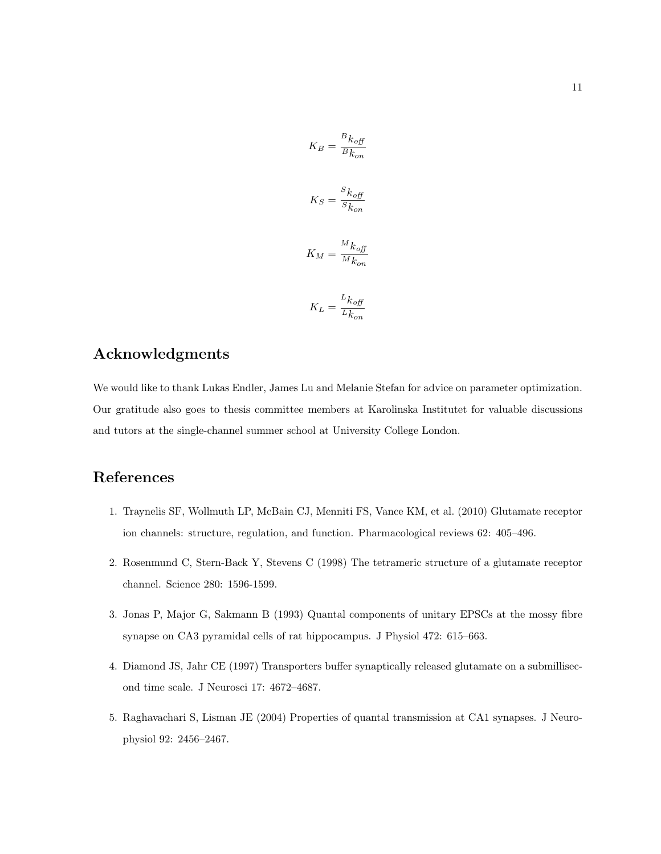$$
K_B = \frac{B k_{off}}{B k_{on}}
$$

$$
K_S = \frac{S k_{off}}{S k_{on}}
$$

$$
K_M = \frac{M k_{off}}{M k_{on}}
$$

$$
K_L = \frac{L k_{off}}{L L}
$$

 $L_{k_{on}}$ 

### Acknowledgments

We would like to thank Lukas Endler, James Lu and Melanie Stefan for advice on parameter optimization. Our gratitude also goes to thesis committee members at Karolinska Institutet for valuable discussions and tutors at the single-channel summer school at University College London.

## <span id="page-10-0"></span>References

- 1. Traynelis SF, Wollmuth LP, McBain CJ, Menniti FS, Vance KM, et al. (2010) Glutamate receptor ion channels: structure, regulation, and function. Pharmacological reviews 62: 405–496.
- <span id="page-10-1"></span>2. Rosenmund C, Stern-Back Y, Stevens C (1998) The tetrameric structure of a glutamate receptor channel. Science 280: 1596-1599.
- <span id="page-10-2"></span>3. Jonas P, Major G, Sakmann B (1993) Quantal components of unitary EPSCs at the mossy fibre synapse on CA3 pyramidal cells of rat hippocampus. J Physiol 472: 615–663.
- <span id="page-10-4"></span>4. Diamond JS, Jahr CE (1997) Transporters buffer synaptically released glutamate on a submillisecond time scale. J Neurosci 17: 4672–4687.
- <span id="page-10-3"></span>5. Raghavachari S, Lisman JE (2004) Properties of quantal transmission at CA1 synapses. J Neurophysiol 92: 2456–2467.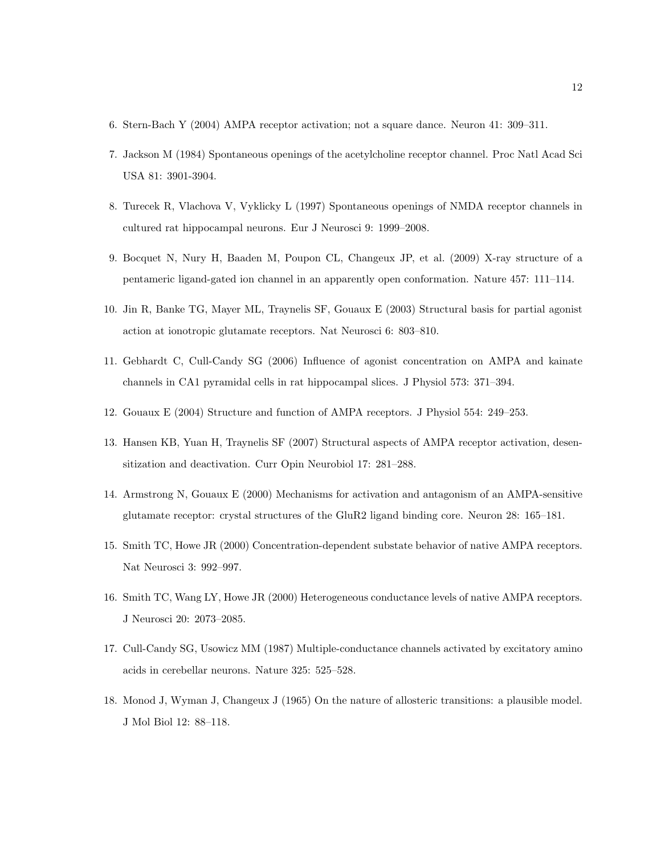- <span id="page-11-1"></span><span id="page-11-0"></span>6. Stern-Bach Y (2004) AMPA receptor activation; not a square dance. Neuron 41: 309–311.
- 7. Jackson M (1984) Spontaneous openings of the acetylcholine receptor channel. Proc Natl Acad Sci USA 81: 3901-3904.
- 8. Turecek R, Vlachova V, Vyklicky L (1997) Spontaneous openings of NMDA receptor channels in cultured rat hippocampal neurons. Eur J Neurosci 9: 1999–2008.
- <span id="page-11-2"></span>9. Bocquet N, Nury H, Baaden M, Poupon CL, Changeux JP, et al. (2009) X-ray structure of a pentameric ligand-gated ion channel in an apparently open conformation. Nature 457: 111–114.
- <span id="page-11-3"></span>10. Jin R, Banke TG, Mayer ML, Traynelis SF, Gouaux E (2003) Structural basis for partial agonist action at ionotropic glutamate receptors. Nat Neurosci 6: 803–810.
- <span id="page-11-4"></span>11. Gebhardt C, Cull-Candy SG (2006) Influence of agonist concentration on AMPA and kainate channels in CA1 pyramidal cells in rat hippocampal slices. J Physiol 573: 371–394.
- <span id="page-11-6"></span><span id="page-11-5"></span>12. Gouaux E (2004) Structure and function of AMPA receptors. J Physiol 554: 249–253.
- 13. Hansen KB, Yuan H, Traynelis SF (2007) Structural aspects of AMPA receptor activation, desensitization and deactivation. Curr Opin Neurobiol 17: 281–288.
- <span id="page-11-7"></span>14. Armstrong N, Gouaux E (2000) Mechanisms for activation and antagonism of an AMPA-sensitive glutamate receptor: crystal structures of the GluR2 ligand binding core. Neuron 28: 165–181.
- <span id="page-11-8"></span>15. Smith TC, Howe JR (2000) Concentration-dependent substate behavior of native AMPA receptors. Nat Neurosci 3: 992–997.
- 16. Smith TC, Wang LY, Howe JR (2000) Heterogeneous conductance levels of native AMPA receptors. J Neurosci 20: 2073–2085.
- <span id="page-11-9"></span>17. Cull-Candy SG, Usowicz MM (1987) Multiple-conductance channels activated by excitatory amino acids in cerebellar neurons. Nature 325: 525–528.
- <span id="page-11-10"></span>18. Monod J, Wyman J, Changeux J (1965) On the nature of allosteric transitions: a plausible model. J Mol Biol 12: 88–118.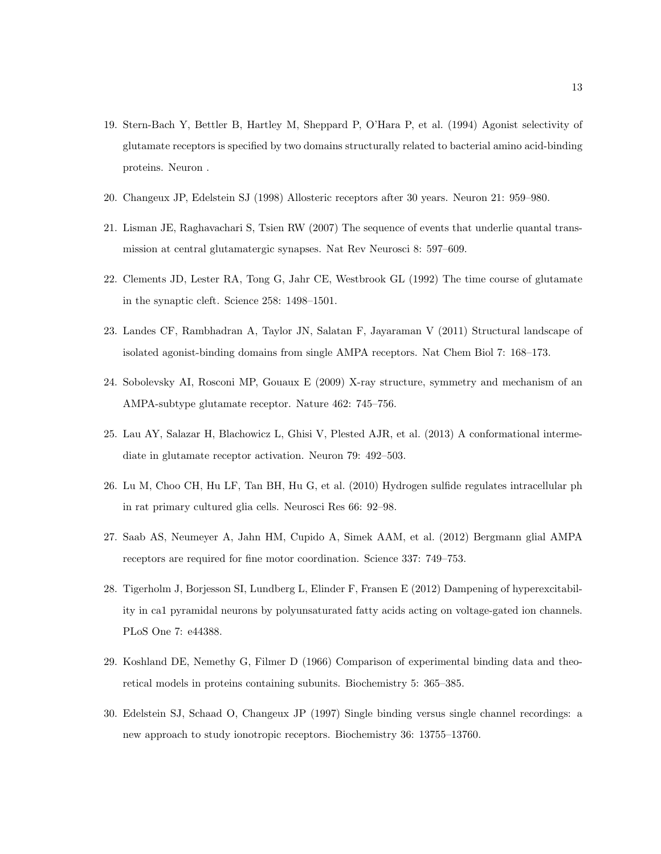- <span id="page-12-0"></span>19. Stern-Bach Y, Bettler B, Hartley M, Sheppard P, O'Hara P, et al. (1994) Agonist selectivity of glutamate receptors is specified by two domains structurally related to bacterial amino acid-binding proteins. Neuron .
- <span id="page-12-2"></span><span id="page-12-1"></span>20. Changeux JP, Edelstein SJ (1998) Allosteric receptors after 30 years. Neuron 21: 959–980.
- 21. Lisman JE, Raghavachari S, Tsien RW (2007) The sequence of events that underlie quantal transmission at central glutamatergic synapses. Nat Rev Neurosci 8: 597–609.
- <span id="page-12-3"></span>22. Clements JD, Lester RA, Tong G, Jahr CE, Westbrook GL (1992) The time course of glutamate in the synaptic cleft. Science 258: 1498–1501.
- <span id="page-12-4"></span>23. Landes CF, Rambhadran A, Taylor JN, Salatan F, Jayaraman V (2011) Structural landscape of isolated agonist-binding domains from single AMPA receptors. Nat Chem Biol 7: 168–173.
- <span id="page-12-5"></span>24. Sobolevsky AI, Rosconi MP, Gouaux E (2009) X-ray structure, symmetry and mechanism of an AMPA-subtype glutamate receptor. Nature 462: 745–756.
- <span id="page-12-6"></span>25. Lau AY, Salazar H, Blachowicz L, Ghisi V, Plested AJR, et al. (2013) A conformational intermediate in glutamate receptor activation. Neuron 79: 492–503.
- <span id="page-12-7"></span>26. Lu M, Choo CH, Hu LF, Tan BH, Hu G, et al. (2010) Hydrogen sulfide regulates intracellular ph in rat primary cultured glia cells. Neurosci Res 66: 92–98.
- <span id="page-12-8"></span>27. Saab AS, Neumeyer A, Jahn HM, Cupido A, Simek AAM, et al. (2012) Bergmann glial AMPA receptors are required for fine motor coordination. Science 337: 749–753.
- <span id="page-12-9"></span>28. Tigerholm J, Borjesson SI, Lundberg L, Elinder F, Fransen E (2012) Dampening of hyperexcitability in ca1 pyramidal neurons by polyunsaturated fatty acids acting on voltage-gated ion channels. PLoS One 7: e44388.
- <span id="page-12-10"></span>29. Koshland DE, Nemethy G, Filmer D (1966) Comparison of experimental binding data and theoretical models in proteins containing subunits. Biochemistry 5: 365–385.
- <span id="page-12-11"></span>30. Edelstein SJ, Schaad O, Changeux JP (1997) Single binding versus single channel recordings: a new approach to study ionotropic receptors. Biochemistry 36: 13755–13760.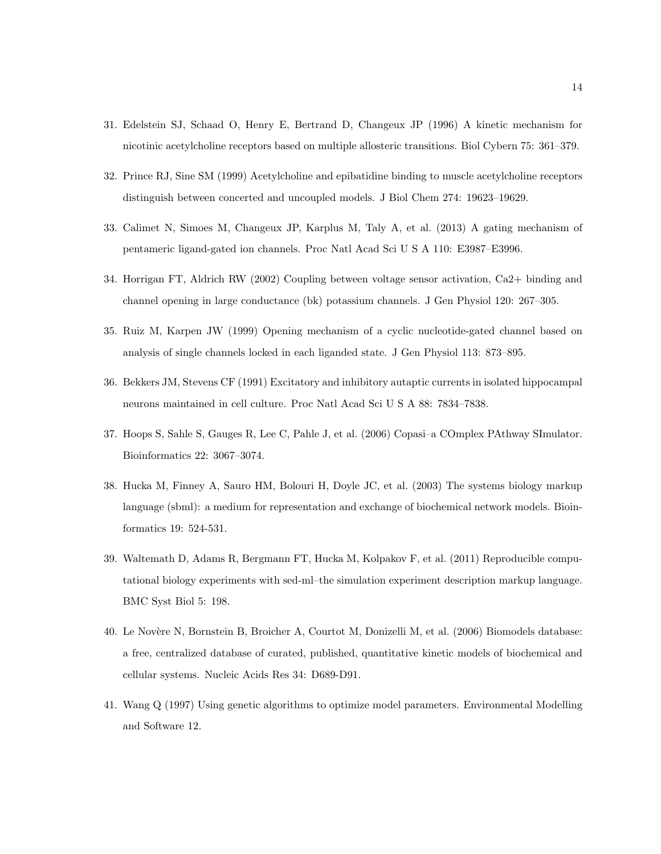- <span id="page-13-0"></span>31. Edelstein SJ, Schaad O, Henry E, Bertrand D, Changeux JP (1996) A kinetic mechanism for nicotinic acetylcholine receptors based on multiple allosteric transitions. Biol Cybern 75: 361–379.
- 32. Prince RJ, Sine SM (1999) Acetylcholine and epibatidine binding to muscle acetylcholine receptors distinguish between concerted and uncoupled models. J Biol Chem 274: 19623–19629.
- <span id="page-13-1"></span>33. Calimet N, Simoes M, Changeux JP, Karplus M, Taly A, et al. (2013) A gating mechanism of pentameric ligand-gated ion channels. Proc Natl Acad Sci U S A 110: E3987–E3996.
- <span id="page-13-2"></span>34. Horrigan FT, Aldrich RW (2002) Coupling between voltage sensor activation, Ca2+ binding and channel opening in large conductance (bk) potassium channels. J Gen Physiol 120: 267–305.
- <span id="page-13-3"></span>35. Ruiz M, Karpen JW (1999) Opening mechanism of a cyclic nucleotide-gated channel based on analysis of single channels locked in each liganded state. J Gen Physiol 113: 873–895.
- <span id="page-13-4"></span>36. Bekkers JM, Stevens CF (1991) Excitatory and inhibitory autaptic currents in isolated hippocampal neurons maintained in cell culture. Proc Natl Acad Sci U S A 88: 7834–7838.
- <span id="page-13-5"></span>37. Hoops S, Sahle S, Gauges R, Lee C, Pahle J, et al. (2006) Copasi–a COmplex PAthway SImulator. Bioinformatics 22: 3067–3074.
- <span id="page-13-6"></span>38. Hucka M, Finney A, Sauro HM, Bolouri H, Doyle JC, et al. (2003) The systems biology markup language (sbml): a medium for representation and exchange of biochemical network models. Bioinformatics 19: 524-531.
- <span id="page-13-7"></span>39. Waltemath D, Adams R, Bergmann FT, Hucka M, Kolpakov F, et al. (2011) Reproducible computational biology experiments with sed-ml–the simulation experiment description markup language. BMC Syst Biol 5: 198.
- <span id="page-13-8"></span>40. Le Novère N, Bornstein B, Broicher A, Courtot M, Donizelli M, et al. (2006) Biomodels database: a free, centralized database of curated, published, quantitative kinetic models of biochemical and cellular systems. Nucleic Acids Res 34: D689-D91.
- <span id="page-13-9"></span>41. Wang Q (1997) Using genetic algorithms to optimize model parameters. Environmental Modelling and Software 12.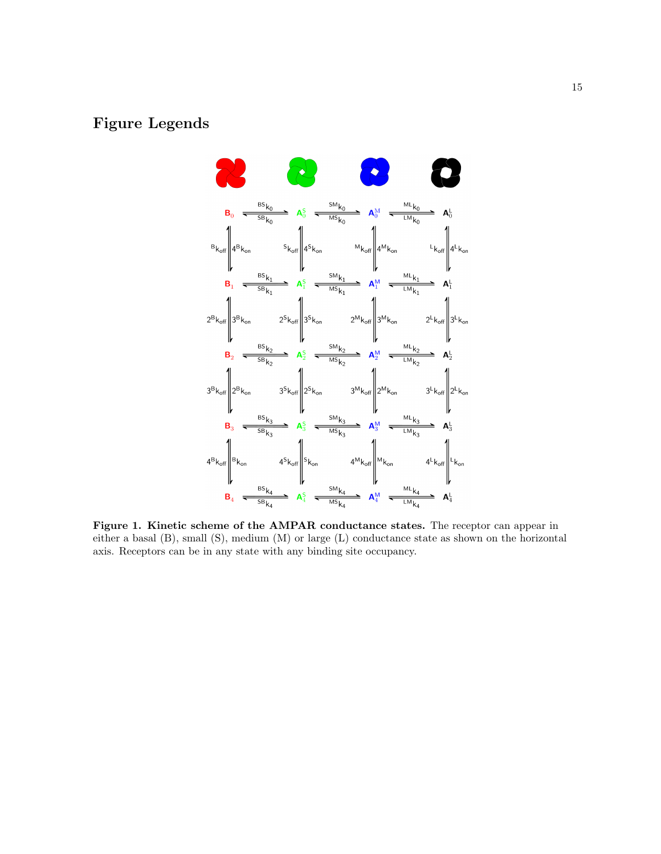## <span id="page-14-0"></span>Figure Legends



Figure 1. Kinetic scheme of the AMPAR conductance states. The receptor can appear in either a basal (B), small (S), medium (M) or large (L) conductance state as shown on the horizontal axis. Receptors can be in any state with any binding site occupancy.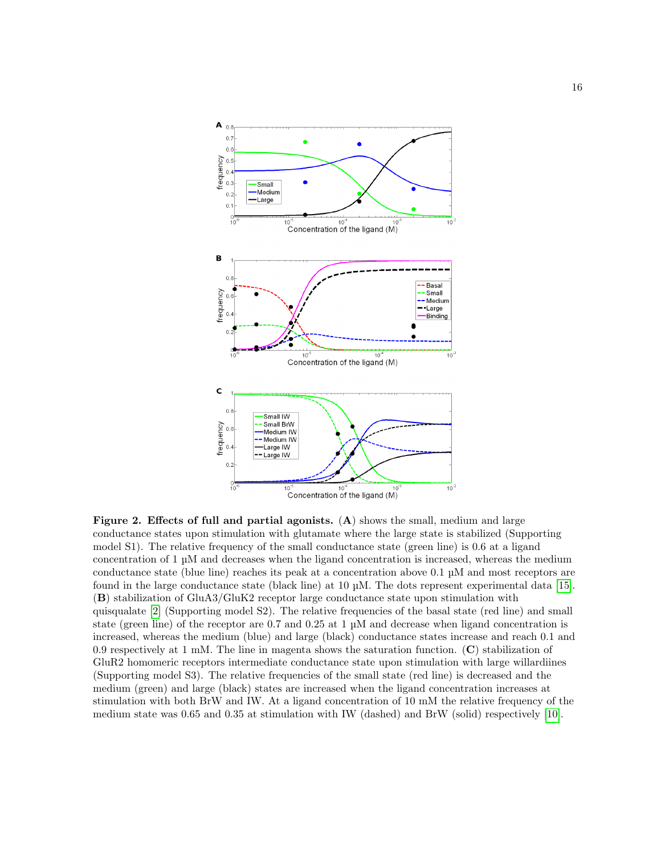<span id="page-15-0"></span>

Figure 2. Effects of full and partial agonists.  $(A)$  shows the small, medium and large conductance states upon stimulation with glutamate where the large state is stabilized (Supporting model S1). The relative frequency of the small conductance state (green line) is 0.6 at a ligand concentration of 1 µM and decreases when the ligand concentration is increased, whereas the medium conductance state (blue line) reaches its peak at a concentration above 0.1 µM and most receptors are found in the large conductance state (black line) at 10 µM. The dots represent experimental data [\[15\]](#page-11-8). (B) stabilization of GluA3/GluK2 receptor large conductance state upon stimulation with quisqualate [\[2\]](#page-10-1) (Supporting model S2). The relative frequencies of the basal state (red line) and small state (green line) of the receptor are 0.7 and 0.25 at 1 µM and decrease when ligand concentration is increased, whereas the medium (blue) and large (black) conductance states increase and reach 0.1 and 0.9 respectively at 1 mM. The line in magenta shows the saturation function. (C) stabilization of GluR2 homomeric receptors intermediate conductance state upon stimulation with large willardiines (Supporting model S3). The relative frequencies of the small state (red line) is decreased and the medium (green) and large (black) states are increased when the ligand concentration increases at stimulation with both BrW and IW. At a ligand concentration of 10 mM the relative frequency of the medium state was 0.65 and 0.35 at stimulation with IW (dashed) and BrW (solid) respectively [\[10\]](#page-11-3).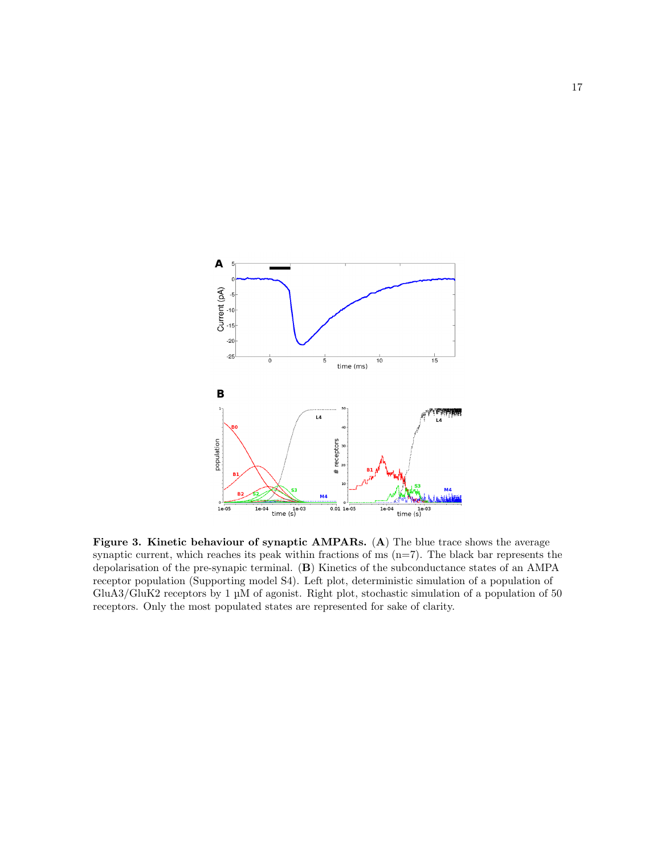<span id="page-16-0"></span>

Figure 3. Kinetic behaviour of synaptic AMPARs. (A) The blue trace shows the average synaptic current, which reaches its peak within fractions of  $ms$  ( $n=7$ ). The black bar represents the depolarisation of the pre-synapic terminal. (B) Kinetics of the subconductance states of an AMPA receptor population (Supporting model S4). Left plot, deterministic simulation of a population of GluA3/GluK2 receptors by 1 µM of agonist. Right plot, stochastic simulation of a population of 50 receptors. Only the most populated states are represented for sake of clarity.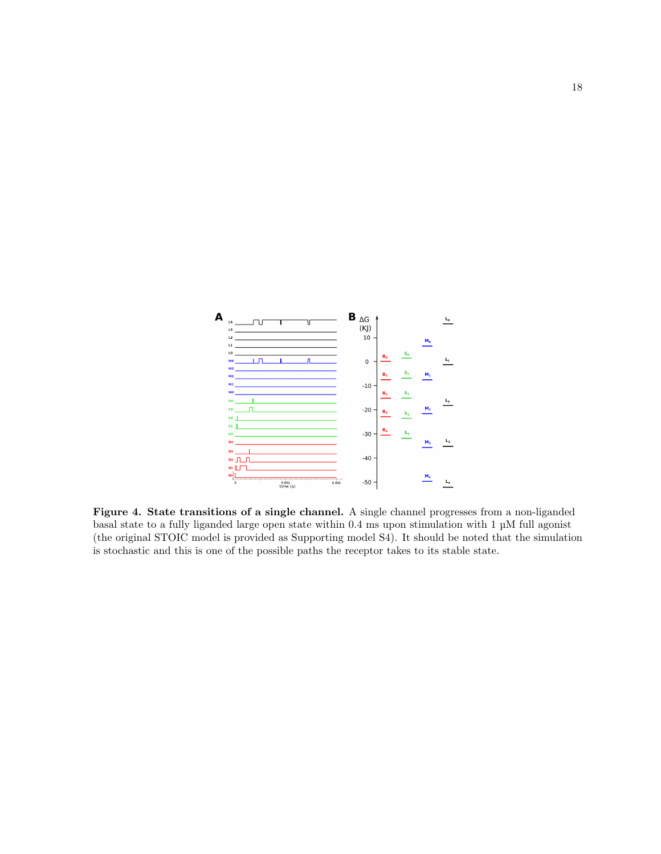<span id="page-17-0"></span>

Figure 4. State transitions of a single channel. A single channel progresses from a non-liganded basal state to a fully liganded large open state within 0.4 ms upon stimulation with 1 µM full agonist (the original STOIC model is provided as Supporting model S4). It should be noted that the simulation is stochastic and this is one of the possible paths the receptor takes to its stable state.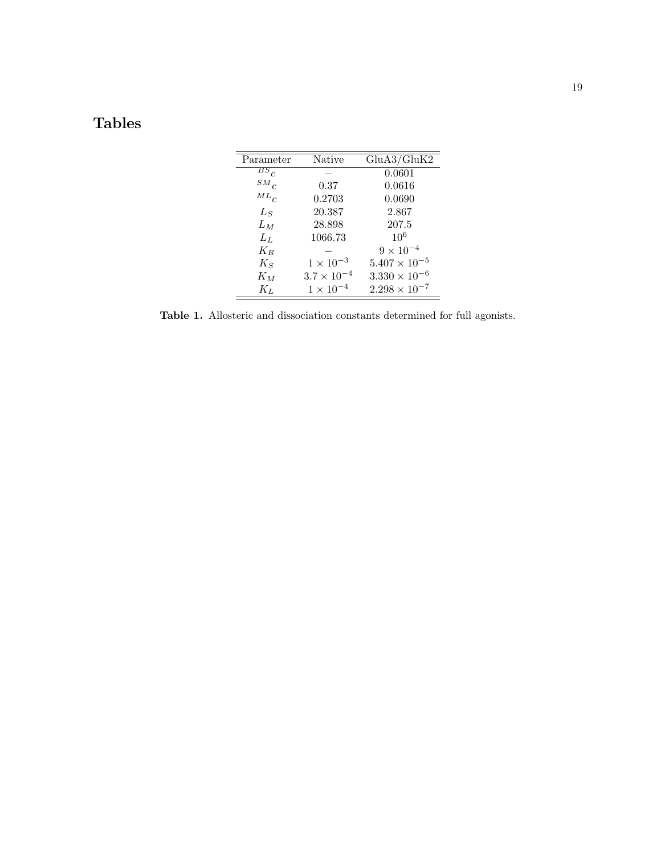# <span id="page-18-0"></span>Tables

| Parameter | Native               | GluA3/GluK2            |
|-----------|----------------------|------------------------|
| $BS_C$    |                      | 0.0601                 |
| $SM_C$    | 0.37                 | 0.0616                 |
| $ML_C$    | 0.2703               | 0.0690                 |
| $L_S$     | 20.387               | 2.867                  |
| $L_M$     | 28.898               | 207.5                  |
| $L_L$     | 1066.73              | $10^{6}$               |
| $K_{B}$   |                      | $9 \times 10^{-4}$     |
| $K_S$     | $1 \times 10^{-3}$   | $5.407 \times 10^{-5}$ |
| $K_M$     | $3.7 \times 10^{-4}$ | $3.330 \times 10^{-6}$ |
| $K_L$     | $1 \times 10^{-4}$   | $2.298 \times 10^{-7}$ |

-

Table 1. Allosteric and dissociation constants determined for full agonists.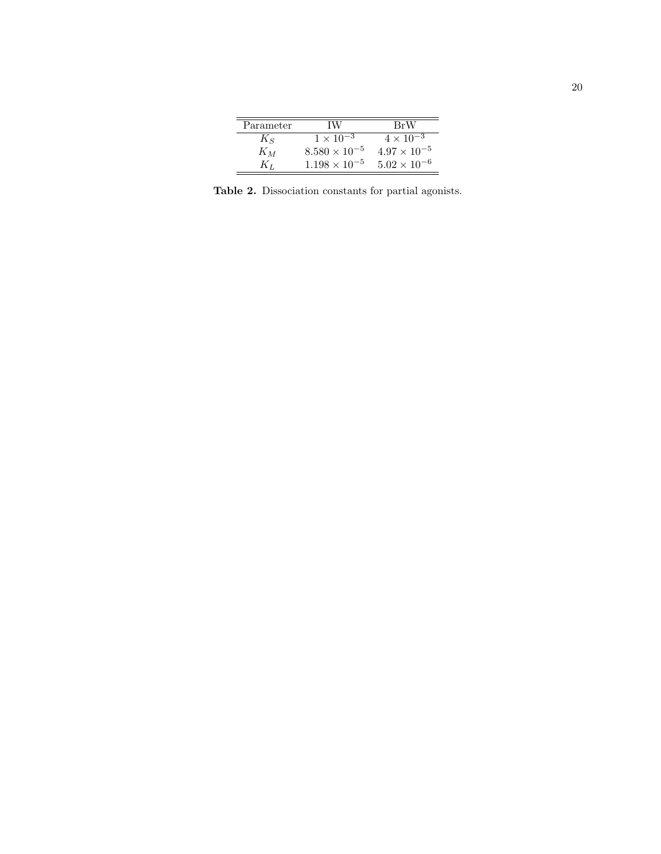| Parameter | TW                     | BrW                   |
|-----------|------------------------|-----------------------|
| $K_{S}$   | $1 \times 10^{-3}$     | $4 \times 10^{-3}$    |
| $K_M$     | $8.580 \times 10^{-5}$ | $4.97 \times 10^{-5}$ |
| Kт        | $1.198 \times 10^{-5}$ | $5.02 \times 10^{-6}$ |

<span id="page-19-0"></span>Table 2. Dissociation constants for partial agonists.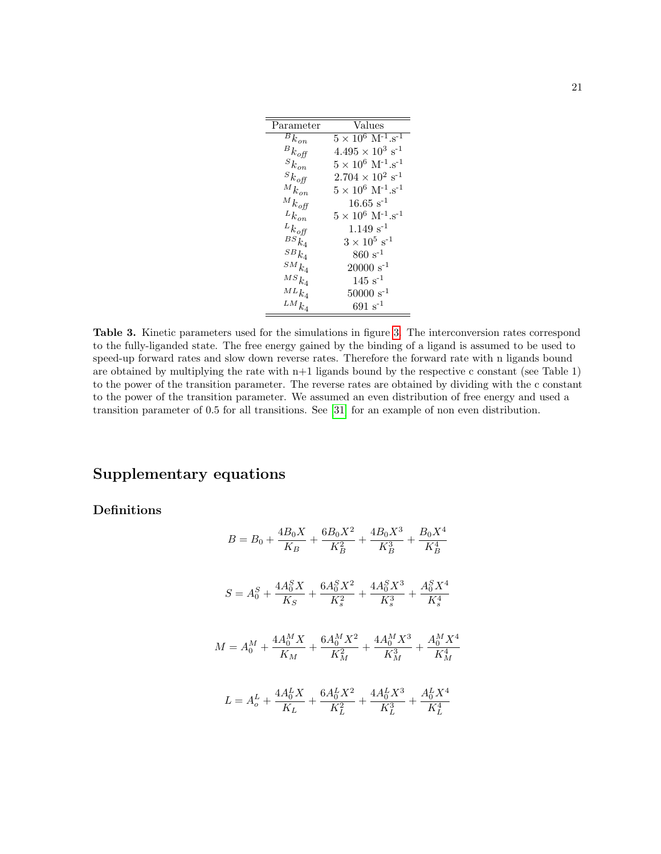<span id="page-20-0"></span>

| Parameter                         | Values                                                     |
|-----------------------------------|------------------------------------------------------------|
| $\overline{B}_{k_{on}}$           | $5 \times 10^6 \,\,{\rm M}$ <sup>-1</sup> .s <sup>-1</sup> |
| ${}^Bk_{\mathit{off}}$            | $4.495 \times 10^3 \text{ s}^{-1}$                         |
| $\boldsymbol{s}_{k_{on}}$         | $5 \times 10^6 \,\,{\rm M}^{-1}.{\rm s}^{-1}$              |
| $\boldsymbol{s}_{k_{\text{off}}}$ | $2.704 \times 10^{2} \text{ s}^{-1}$                       |
| $^M k_{\emph{on}}$                | $5 \times 10^6 \text{ M}^{-1} \text{.s}^{-1}$              |
| $^M k_{\mathit{off}}$             | $16.65 s^{-1}$                                             |
| $^Lk_{\mathit{on}}$               | $5 \times 10^6 \text{ M}^{-1} \text{.s}^{-1}$              |
| ${}^Lk_{\mathit{off}}$            | $1.149 s^{-1}$                                             |
| $\scriptstyle{BS}_{k_4}$          | $3\times10^5~\rm s^{-1}$                                   |
| $^{SB}k_{4}$                      | $860 s^{-1}$                                               |
| $^{SM}k_4$                        | $20000 \text{ s}^{-1}$                                     |
| $^{MS}k_4$                        | $145 s^{-1}$                                               |
| $^{ML}k_4$                        | $50000 \text{ s}^{-1}$                                     |
| $^{LM}k_4$                        | $691\,\,\mathrm{s}^{-1}$                                   |

Table 3. Kinetic parameters used for the simulations in figure [3.](#page-16-0) The interconversion rates correspond to the fully-liganded state. The free energy gained by the binding of a ligand is assumed to be used to speed-up forward rates and slow down reverse rates. Therefore the forward rate with n ligands bound are obtained by multiplying the rate with  $n+1$  ligands bound by the respective c constant (see Table 1) to the power of the transition parameter. The reverse rates are obtained by dividing with the c constant to the power of the transition parameter. We assumed an even distribution of free energy and used a transition parameter of 0.5 for all transitions. See [\[31\]](#page-13-0) for an example of non even distribution.

# Supplementary equations

Definitions

$$
B = B_0 + \frac{4B_0X}{K_B} + \frac{6B_0X^2}{K_B^2} + \frac{4B_0X^3}{K_B^3} + \frac{B_0X^4}{K_B^4}
$$
  

$$
S = A_0^S + \frac{4A_0^SX}{K_S} + \frac{6A_0^SX^2}{K_s^2} + \frac{4A_0^SX^3}{K_s^3} + \frac{A_0^SX^4}{K_s^4}
$$
  

$$
M = A_0^M + \frac{4A_0^MX}{K_M} + \frac{6A_0^MX^2}{K_M^2} + \frac{4A_0^MX^3}{K_M^3} + \frac{A_0^MX^4}{K_M^4}
$$
  

$$
L = A_0^L + \frac{4A_0^LX}{K_L} + \frac{6A_0^LX^2}{K_L^2} + \frac{4A_0^LX^3}{K_L^3} + \frac{A_0^LX^4}{K_L^4}
$$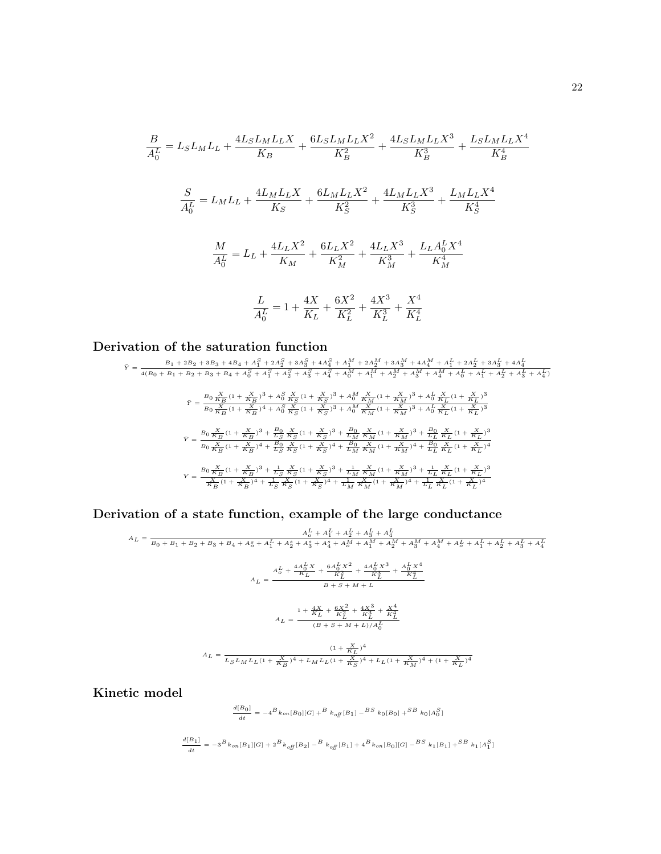$$
\frac{B}{A_0^L} = L_S L_M L_L + \frac{4L_S L_M L_L X}{K_B} + \frac{6L_S L_M L_L X^2}{K_B^2} + \frac{4L_S L_M L_L X^3}{K_B^3} + \frac{L_S L_M L_L X^4}{K_B^4}
$$

$$
\frac{S}{A_0^L} = L_M L_L + \frac{4L_M L_L X}{K_S} + \frac{6L_M L_L X^2}{K_S^2} + \frac{4L_M L_L X^3}{K_S^3} + \frac{L_M L_L X^4}{K_S^4}
$$

$$
\frac{M}{A_0^L} = L_L + \frac{4L_L X^2}{K_M} + \frac{6L_L X^2}{K_M^2} + \frac{4L_L X^3}{K_M^3} + \frac{L_L A_0^L X^4}{K_M^4}
$$

$$
\frac{L}{A_0^L} = 1 + \frac{4X}{K_L} + \frac{6X^2}{K_L^2} + \frac{4X^3}{K_L^3} + \frac{X^4}{K_L^4}
$$

### Derivation of the saturation function

$$
\tilde{Y} = \frac{B_1 + 2B_2 + 3B_3 + 4B_4 + A_1^S + 2A_2^S + 3A_3^S + 4A_4^S + A_1^M + 2A_2^M + 3A_3^M + 4A_4^M + A_1^L + 2A_2^L + 3A_3^L + 4A_4^L}{4(B_0 + B_1 + B_2 + B_3 + B_4 + A_0^S + A_1^S + A_2^S + A_3^S + A_4^S + A_0^M + A_1^M + A_2^M + A_3^M + A_4^M + A_6^L + A_1^L + A_2^L + A_3^L + A_4^L)
$$
\n
$$
\tilde{Y} = \frac{B_0 \frac{X}{KB} (1 + \frac{X}{KB})^3 + A_0^S \frac{X}{KS} (1 + \frac{X}{KS})^3 + A_0^M \frac{X}{KM} (1 + \frac{X}{KM})^3 + A_0^L \frac{X}{KL} (1 + \frac{X}{KL})^3}{K_L (1 + \frac{X}{KL})^3}
$$
\n
$$
\tilde{Y} = \frac{B_0 \frac{X}{KB} (1 + \frac{X}{KB})^3 + A_0^S \frac{X}{KS} (1 + \frac{X}{KS})^3 + A_0^M \frac{X}{KM} (1 + \frac{X}{KM})^3 + A_0^L \frac{X}{KL} (1 + \frac{X}{KL})^3}{K_L (1 + \frac{X}{KL})^3}
$$
\n
$$
\tilde{Y} = \frac{B_0 \frac{X}{KB} (1 + \frac{X}{KB})^3 + \frac{B_0}{LS} \frac{X}{KS} (1 + \frac{X}{KS})^3 + \frac{B_0}{LM} \frac{X}{KM} (1 + \frac{X}{KM})^3 + \frac{B_0}{LL} \frac{X}{KL} (1 + \frac{X}{KL})^3}{K_L (1 + \frac{X}{KL})^4}
$$
\n
$$
Y = \frac{B_0 \frac{X}{KB} (1 + \frac{X}{KB})^3 + \frac{1}{LS} \frac{X}{KS} (1 + \frac{X}{KS})^3 + \frac{1}{LM} \frac{X}{KM} (1 + \frac{X}{KM})^3 + \frac{1}{LL} \frac{X}{KL} (1 + \frac{X}{KL})^3}{K_L (1
$$

Derivation of a state function, example of the large conductance

$$
A_{L} = \frac{A_{o}^{L} + A_{1}^{L} + A_{2}^{L} + A_{3}^{L} + A_{4}^{L}}{B_{0} + B_{1} + B_{2} + B_{3} + B_{4} + A_{o}^{R} + A_{1}^{L} + A_{2}^{S} + A_{3}^{S} + A_{4}^{S} + A_{4}^{M} + A_{4}^{M} + A_{4}^{M} + A_{4}^{M} + A_{4}^{M} + A_{4}^{M} + A_{4}^{L} + A_{4}^{L} + A_{4}^{L} + A_{4}^{L} + A_{4}^{L} + A_{4}^{L} + A_{4}^{L} + A_{4}^{L} + A_{4}^{L} + A_{4}^{L} + A_{4}^{L} + A_{4}^{L} + A_{4}^{L} + A_{4}^{L} + A_{4}^{L} + A_{4}^{L} + A_{4}^{L} + A_{4}^{L} + A_{4}^{L} + A_{4}^{L} + A_{4}^{L} + A_{4}^{L} + A_{4}^{L} + A_{4}^{L} + A_{4}^{L} + A_{4}^{L} + A_{4}^{L} + A_{4}^{L} + A_{4}^{L} + A_{4}^{L} + A_{4}^{L} + A_{4}^{L} + A_{4}^{L} + A_{4}^{L} + A_{4}^{L} + A_{4}^{L} + A_{4}^{L} + A_{4}^{L} + A_{4}^{L} + A_{4}^{L} + A_{4}^{L} + A_{4}^{L} + A_{4}^{L} + A_{4}^{L} + A_{4}^{L} + A_{4}^{L} + A_{4}^{L} + A_{4}^{L} + A_{4}^{L} + A_{4}^{L} + A_{4}^{L} + A_{4}^{L} + A_{4}^{L} + A_{4}^{L} + A_{4}^{L} + A_{4}^{L} + A_{4}^{L} + A_{4}^{L} + A_{4}^{L} + A_{4}^{L} + A_{4}^{L} + A_{4}^{L} + A_{4}^{L} + A_{4}^{L} + A_{4}^{L} + A_{4}^{L} + A_{4}^{L} + A_{4}^{L} + A_{4}^{L} + A_{4}^{L} + A_{4}^{L} + A_{4}^{L} + A_{4}^{L} + A_{4}^{L} + A_{4}^{L
$$

Kinetic model

$$
\frac{d[B_0]}{dt} = -4^B\,k_{\,on}[B_0][G] + ^B\,k_{\,off}[B_1] - ^{BS}\,k_0[B_0] + ^{SB}\,k_0[A_0^S]
$$

$$
\frac{d[B_1]}{dt} = -3^Bk_{on}[B_1][G] + 2^Bk_{off}[B_2] - ^Bk_{off}[B_1] + 4^Bk_{on}[B_0][G] -^{BS}k_{1}[B_1] + ^{SB}k_{1}[A_1^S]
$$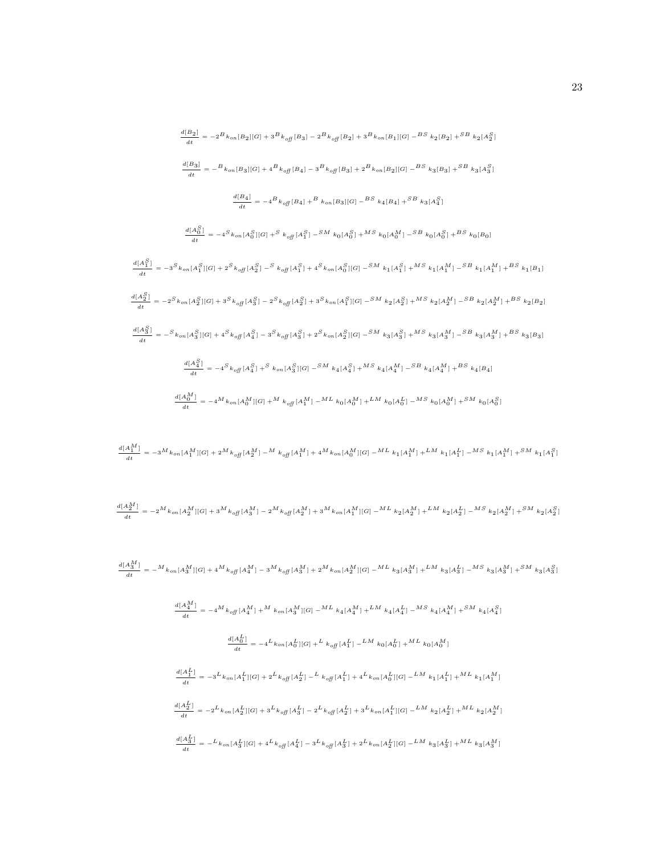$$
\frac{d[B_2]}{dt} = -2^B k_{on}[B_2][G] + 3^B k_{off}[B_3] - 2^B k_{off}[B_2] + 3^B k_{on}[B_1][G] - B S k_{2}[B_2] + 5^B k_{2}[A_2^S]
$$
\n
$$
\frac{d[B_3]}{dt} = -B k_{on}[B_3][G] + 4^B k_{off}[B_4] - 3^B k_{off}[B_3] + 2^B k_{on}[B_2][G] - B S k_{3}[B_3] + S^B k_{3}[A_3^S]
$$
\n
$$
\frac{d[B_4]}{dt} = -4^B k_{off}[B_4] + B k_{on}[B_3][G] - B S k_{4}[B_4] + S^B k_{3}[A_4^S]
$$
\n
$$
\frac{d[A_0^S]}{dt} = -4^S k_{on}[A_0^S][G] + S k_{off}[A_1^S] - S M k_{0}[A_0^S] + M S k_{0}[A_0^M] - S B k_{0}[A_0^S] + B S k_{0}[B_0]
$$
\n
$$
\frac{d[A_1^S]}{dt} = -3^S k_{on}[A_1^S][G] + 2^S k_{off}[A_2^S] - S k_{off}[A_1^S] + 4^S k_{on}[A_0^S][G] - S M k_{1}[A_1^S] + M S k_{1}[A_1^M] - S B k_{1}[A_1^M] + B S k_{1}[B_1]
$$
\n
$$
\frac{d[A_2^S]}{dt} = -2^S k_{on}[A_2^S][G] + 3^S k_{off}[A_3^S] - 2^S k_{off}[A_2^S] + 3^S k_{on}[A_1^S][G] - S M k_{2}[A_2^S] + M S k_{2}[A_2^M] - S B k_{2}[A_2^M] + B S k_{2}[B_2]
$$
\n
$$
\frac{d[A_3^S]}{dt} = -S k_{on}[A_3^S][G] + 4^S k_{off}[A_4^S] - 3^S k_{off}[A_3^S] + 2^S k_{on}[A_2^S][G] - S M k_{3}[A_3^S] + M S k_{3}[A_3^M] - S B k_{3}[A_3^M] + B S k_{3}[B_3]
$$

$$
\frac{d[A_1^M]}{dt} = -3\frac{M}{k_{on} [A_1^M][G]} + 2\frac{M}{k_{off} [A_2^M]} - \frac{M}{k_{off} [A_1^M]} + 4\frac{M}{k_{on} [A_0^M][G]} - \frac{ML}{k_1 [A_1^M]} + \frac{LM}{k_1 [A_1^L]} - \frac{MS}{k_1 [A_1^M]} + \frac{SM}{k_1 [A_1^S]} + \frac{M}{k_{off} [A_1^M]} - \frac{M}{k_{off} [A_1^M]} - \frac{M}{k_{off} [A_1^M]} - \frac{M}{k_{off} [A_1^M]} - \frac{M}{k_{off} [A_1^M]} - \frac{M}{k_{off} [A_1^M]} - \frac{M}{k_{off} [A_1^M]} - \frac{M}{k_{off} [A_1^M]} - \frac{M}{k_{off} [A_1^M]} - \frac{M}{k_{off} [A_1^M]} - \frac{M}{k_{off} [A_1^M]} - \frac{M}{k_{off} [A_1^M]} - \frac{M}{k_{off} [A_1^M]} - \frac{M}{k_{off} [A_1^M]} - \frac{M}{k_{off} [A_1^M]} - \frac{M}{k_{off} [A_1^M]} - \frac{M}{k_{off} [A_1^M]} - \frac{M}{k_{off} [A_1^M]} - \frac{M}{k_{off} [A_1^M]} - \frac{M}{k_{off} [A_1^M]} - \frac{M}{k_{off} [A_1^M]} - \frac{M}{k_{off} [A_1^M]} - \frac{M}{k_{off} [A_1^M]} - \frac{M}{k_{off} [A_1^M]} - \frac{M}{k_{off} [A_1^M]} - \frac{M}{k_{off} [A_1^M]} - \frac{M}{k_{off} [A_1^M]} - \frac{M}{k_{off} [A_1^M]} - \frac{M}{k_{off} [A_1^M]} - \frac{M}{k_{off} [A_1^M]} - \frac{M}{k_{off} [A_1^M]} - \frac{M}{k_{off} [A_1^M]} - \frac{M}{k_{off} [A_1^M]} - \frac{M}{k_{off} [A_1^M]} - \frac{M}{k_{off} [A_1^M]} - \frac{M}{k_{off}
$$

$$
\frac{d[A_{2}^{M}]}{dt}=-2^{M}k_{on}[A_{2}^{M}][G]+3^{M}k_{off}[A_{3}^{M}]-2^{M}k_{off}[A_{2}^{M}]+3^{M}k_{on}[A_{1}^{M}][G]-^{ML}k_{2}[A_{2}^{M}]+^{LM}k_{2}[A_{2}^{L}]-^{MS}k_{2}[A_{2}^{M}]+^{SM}k_{2}[A_{2}^{S}]+^{M}k_{off}[A_{2}^{M}][G]+^{M}k_{off}[A_{2}^{M}]+^{M}k_{off}[A_{2}^{M}][G]+^{M}k_{off}[A_{2}^{M}][G]+^{M}k_{off}[A_{2}^{M}][G]+^{M}k_{off}[A_{2}^{M}][G]+^{M}k_{off}[A_{2}^{M}][G]+^{M}k_{off}[A_{2}^{M}][G]+^{M}k_{off}[A_{2}^{M}][G]+^{M}k_{off}[A_{2}^{M}][G]+^{M}k_{off}[A_{2}^{M}][G]+^{M}k_{off}[A_{2}^{M}][G]+^{M}k_{off}[A_{2}^{M}][G]+^{M}k_{off}[A_{2}^{M}][G]+^{M}k_{off}[A_{2}^{M}][G]+^{M}k_{off}[A_{2}^{M}][G]+^{M}k_{off}[A_{2}^{M}][G]+^{M}k_{off}[A_{2}^{M}][G]+^{M}k_{off}[A_{2}^{M}][G]+^{M}k_{off}[A_{2}^{M}][G]+^{M}k_{off}[A_{2}^{M}][G]+^{M}k_{off}[A_{2}^{M}][G]+^{M}k_{off}[A_{2}^{M}][G]+^{M}k_{off}[A_{2}^{M}][G]+^{M}k_{off}[A_{2}^{M}][G]+^{M}k_{off}[A_{2}^{M}][G]+^{M}k_{off}[A_{2}^{M}][G]+^{M}k_{off}[A_{2}^{M}][G]+^{M}k_{off}[A_{2}^{M}][G]+^{M}k_{off}[A_{2}^{M}][G]+^{M}k_{off}[A_{2}^{M}][G]+^{M}k_{off}[A_{2}^{M}][G]+^{M}k_{off}[A_{2}^{M}][G]+^{M}k_{off}[A_{2}^{M}][G]+^{M}k_{off}[A_{2}^{M}][G]+^{M}k_{off}[A_{2}^{M}][G]+^{M}k_{off
$$

$$
\frac{d[A_3^M]}{dt} = -\frac{M}{k_{on}[A_3^M][G]} + 4\frac{M}{k_{off}[A_4^M]} - 3\frac{M}{k_{off}[A_3^M]} + 2\frac{M}{k_{on}[A_2^M][G]} - \frac{ML}{k_3[A_3^M]} + \frac{LM}{k_3[A_3^L]} - \frac{MS}{k_3[A_3^M]} + \frac{SM}{k_3[A_3^S]}
$$
  

$$
\frac{d[A_4^M]}{dt} = -4\frac{M}{k_{off}[A_4^M]} + \frac{M}{k_{on}[A_3^M][G]} - \frac{ML}{k_4[A_4^M]} + \frac{LM}{k_4[A_4^L]} - \frac{MS}{k_4[A_4^M]} + \frac{SM}{k_4[A_4^S]}
$$
  

$$
\frac{d[A_0^L]}{dt} = -4\frac{L}{k_{on}[A_0^L][G]} + \frac{L}{k_{off}[A_1^L]} - \frac{LM}{k_0[A_0^L]} + \frac{ML}{k_0[A_0^M]} - \frac{M}{k_0[A_0^M]}
$$
  

$$
\frac{d[A_1^L]}{dt} = -3\frac{L}{k_{on}[A_1^L][G]} + 2\frac{L}{k_{off}[A_2^L]} - \frac{L}{k_{off}[A_1^L]} + 4\frac{L}{k_{on}[A_0^L][G]} - \frac{LM}{k_1[A_1^L]} + \frac{ML}{k_1[A_1^M]}
$$
  

$$
\frac{d[A_2^L]}{dt} = -2\frac{L}{k_{on}[A_2^L][G]} + 3\frac{L}{k_{off}[A_3^L]} - 2\frac{L}{k_{off}[A_2^L]} + 3\frac{L}{k_{on}[A_1^L][G]} - \frac{LM}{k_2[A_2^L]} + \frac{ML}{k_2[A_2^M]} + \frac{ML}{k_2[A_2^M]}
$$
  

$$
\frac{d[A_3^L]}{dt} = -\frac{L}{k_{on}[A_3^L][G]} + 4\frac{L}{k_{off}[A_4^L]} - 3\frac{L}{k_{off}[A_2^L]} + 2\frac{L}{k_{on}[A_2^L][G]} - \frac{LM}{k_3[A_3^L]} + \frac{ML}{k_3[A_3^M]}
$$